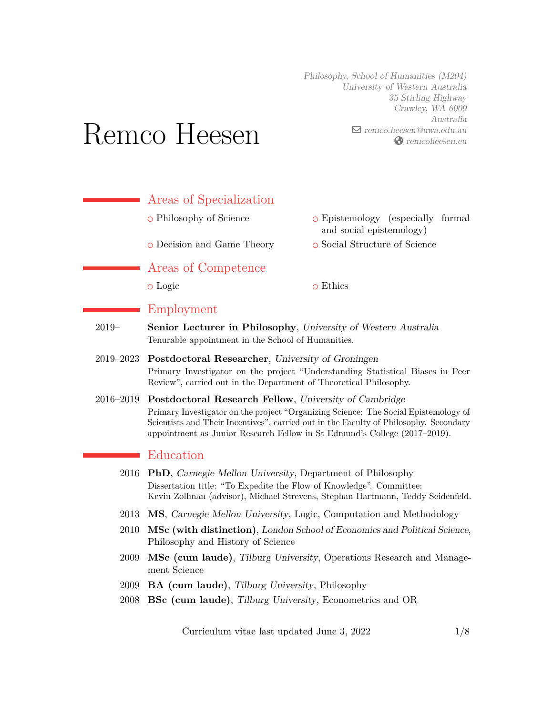Philosophy, School of Humanities (M204) University of Western Australia 35 Stirling Highway Crawley, WA 6009 Australia  $\blacksquare$  [remco.heesen@uwa.edu.au](mailto:remco.heesen@uwa.edu.au) [remcoheesen.eu](https://remcoheesen.eu)

# Remco Heesen

 $\mathcal{L}_{\text{max}}$ Areas of Specialization o Philosophy of Science  $\qquad \qquad$  O Epistemology (especially formal and social epistemology) ○ Decision and Game Theory ○ Social Structure of Science Areas of Competence o Logic o Ethics Employment 2019– **Senior Lecturer in Philosophy**, University of Western Australia Tenurable appointment in the School of Humanities. 2019–2023 **Postdoctoral Researcher**, University of Groningen Primary Investigator on the project "Understanding Statistical Biases in Peer Review", carried out in the Department of Theoretical Philosophy. 2016–2019 **Postdoctoral Research Fellow**, University of Cambridge Primary Investigator on the project "Organizing Science: The Social Epistemology of Scientists and Their Incentives", carried out in the Faculty of Philosophy. Secondary appointment as Junior Research Fellow in St Edmund's College (2017–2019). Education 2016 **PhD**, Carnegie Mellon University, Department of Philosophy Dissertation title: "To Expedite the Flow of Knowledge". Committee: Kevin Zollman (advisor), Michael Strevens, Stephan Hartmann, Teddy Seidenfeld. 2013 **MS**, Carnegie Mellon University, Logic, Computation and Methodology 2010 **MSc (with distinction)**, London School of Economics and Political Science, Philosophy and History of Science 2009 **MSc (cum laude)**, Tilburg University, Operations Research and Management Science

- 2009 **BA (cum laude)**, Tilburg University, Philosophy
- 2008 **BSc (cum laude)**, Tilburg University, Econometrics and OR

Curriculum vitae last updated June 3,  $2022$  1[/8](#page-7-0)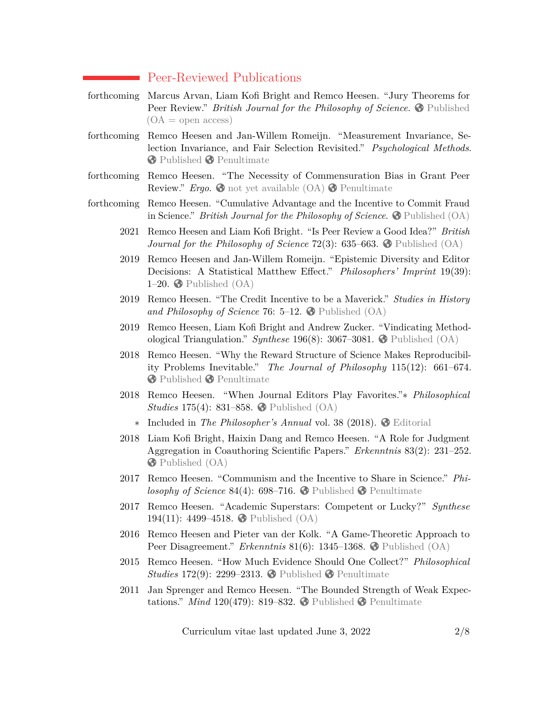#### Peer-Reviewed Publications

- forthcoming Marcus Arvan, Liam Kofi Bright and Remco Heesen. "Jury Theorems for **Peer Review.**" *British Journal for the Philosophy of Science*.  $\bullet$  [Published](https://doi.org/10.1086/719117)  $(OA = open access)$
- forthcoming Remco Heesen and Jan-Willem Romeijn. "Measurement Invariance, Selection Invariance, and Fair Selection Revisited." *Psychological Methods*. **[Published](https://doi.org/10.1037/met0000491) C** [Penultimate](http://remcoheesen.eu/papers)
- forthcoming Remco Heesen. "The Necessity of Commensuration Bias in Grant Peer **Review.**" *Ergo*.  $\bigcirc$  [not yet available \(OA\)](https://doi.org/)  $\bigcirc$  [Penultimate](http://remcoheesen.eu/papers)

forthcoming Remco Heesen. "Cumulative Advantage and the Incentive to Commit Fraud in Science." *British Journal for the Philosophy of Science*.  $\bullet$  [Published \(OA\)](https://doi.org/10.1086/716235)

- 2021 Remco Heesen and Liam Kofi Bright. "Is Peer Review a Good Idea?" *British Journal for the Philosophy of Science* 72(3): 635–663.  $\bullet$  [Published \(OA\)](https://doi.org/10.1093/bjps/axz029)
- 2019 Remco Heesen and Jan-Willem Romeijn. "Epistemic Diversity and Editor Decisions: A Statistical Matthew Effect." *Philosophers' Imprint* 19(39): 1–20.  $\bullet$  [Published \(OA\)](http://hdl.handle.net/2027/spo.3521354.0019.039)
- 2019 Remco Heesen. "The Credit Incentive to be a Maverick." *Studies in History* and Philosophy of Science 76:  $5-12$ .  $\bigcirc$  [Published \(OA\)](https://doi.org/10.1016/j.shpsa.2018.11.007)
- 2019 Remco Heesen, Liam Kofi Bright and Andrew Zucker. "Vindicating Methodological Triangulation." *Synthese* 196(8): 3067–3081. [Published \(OA\)](https://doi.org/10.1007/s11229-016-1294-7)
- 2018 Remco Heesen. "Why the Reward Structure of Science Makes Reproducibility Problems Inevitable." *The Journal of Philosophy* 115(12): 661–674. **[Published](https://doi.org/10.5840/jphil20181151239) C** [Penultimate](http://remcoheesen.eu/papers)
- 2018 Remco Heesen. "When Journal Editors Play Favorites."∗ *Philosophical Studies* 175(4): 831–858. **◆** [Published \(OA\)](https://doi.org/10.1007/s11098-017-0895-4)
	- ∗ Included in *The Philosopher's Annual* vol. 38 (2018). [Editorial](http://www.pgrim.org/philosophersannual/38intro.html)
- 2018 Liam Kofi Bright, Haixin Dang and Remco Heesen. "A Role for Judgment Aggregation in Coauthoring Scientific Papers." *Erkenntnis* 83(2): 231–252. [Published \(OA\)](https://doi.org/10.1007/s10670-017-9887-1)
- 2017 Remco Heesen. "Communism and the Incentive to Share in Science." *Philosophy of Science* 84(4): 698–716. **O** [Published](https://doi.org/10.1086/693875) **O** [Penultimate](http://remcoheesen.eu/papers)
- 2017 Remco Heesen. "Academic Superstars: Competent or Lucky?" *Synthese* 194(11): 4499–4518. [Published \(OA\)](https://doi.org/10.1007/s11229-016-1146-5)
- 2016 Remco Heesen and Pieter van der Kolk. "A Game-Theoretic Approach to Peer Disagreement." *Erkenntnis* 81(6): 1345–1368. [Published \(OA\)](https://doi.org/10.1007/s10670-015-9800-8)
- 2015 Remco Heesen. "How Much Evidence Should One Collect?" *Philosophical Studies* 172(9): 2299–2313. **◆** [Published](https://doi.org/10.1007/s11098-014-0411-z) ◆ [Penultimate](http://remcoheesen.eu/papers)
- 2011 Jan Sprenger and Remco Heesen. "The Bounded Strength of Weak Expectations." *Mind* 120(479): 819–832.  $\bullet$  [Published](https://doi.org/10.1093/mind/fzr060)  $\bullet$  [Penultimate](http://remcoheesen.eu/papers)

Curriculum vitae last updated June 3, 2022  $2/8$  $2/8$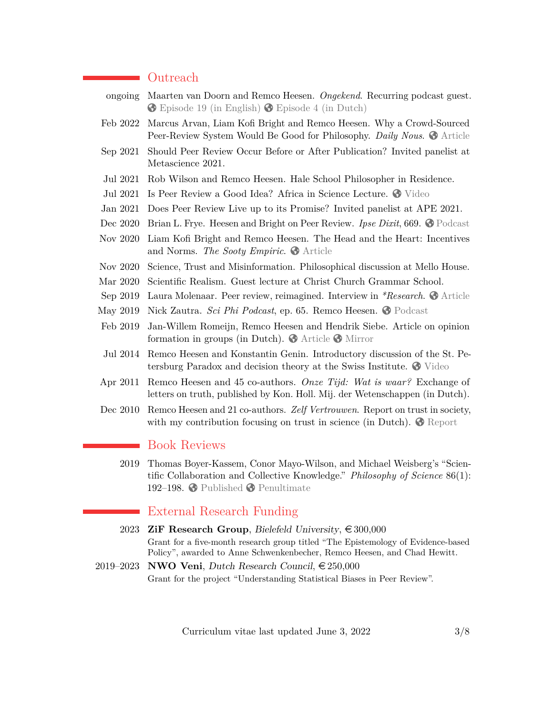# ■ Outreach

| ongoing  | Maarten van Doorn and Remco Heesen. Ongekend. Recurring podcast guest.<br><b>◆ Episode 19 (in English) ◆ Episode 4 (in Dutch)</b>                              |
|----------|----------------------------------------------------------------------------------------------------------------------------------------------------------------|
| Feb 2022 | Marcus Arvan, Liam Kofi Bright and Remco Heesen. Why a Crowd-Sourced<br>Peer-Review System Would Be Good for Philosophy. Daily Nous. O Article                 |
| Sep 2021 | Should Peer Review Occur Before or After Publication? Invited panelist at<br>Metascience 2021.                                                                 |
| Jul 2021 | Rob Wilson and Remco Heesen. Hale School Philosopher in Residence.                                                                                             |
| Jul 2021 | Is Peer Review a Good Idea? Africa in Science Lecture. <a>9</a> Video                                                                                          |
| Jan 2021 | Does Peer Review Live up to its Promise? Invited panelist at APE 2021.                                                                                         |
| Dec 2020 | Brian L. Frye. Heesen and Bright on Peer Review. Ipse Dixit, 669. O Podcast                                                                                    |
| Nov 2020 | Liam Kofi Bright and Remco Heesen. The Head and the Heart: Incentives<br>and Norms. The Sooty Empiric. $\bigcirc$ Article                                      |
| Nov 2020 | Science, Trust and Misinformation. Philosophical discussion at Mello House.                                                                                    |
| Mar 2020 | Scientific Realism. Guest lecture at Christ Church Grammar School.                                                                                             |
| Sep 2019 | Laura Molenaar. Peer review, reimagined. Interview in *Research. $\bigcirc$ Article                                                                            |
| May 2019 | Nick Zautra. Sci Phi Podcast, ep. 65. Remco Heesen. O Podcast                                                                                                  |
| Feb 2019 | Jan-Willem Romeijn, Remco Heesen and Hendrik Siebe. Article on opinion<br>formation in groups (in Dutch). $\bullet$ Article $\bullet$ Mirror                   |
| Jul 2014 | Remco Heesen and Konstantin Genin. Introductory discussion of the St. Pe-<br>tersburg Paradox and decision theory at the Swiss Institute. $\bullet$ Video      |
| Apr 2011 | Remco Heesen and 45 co-authors. Onze Tijd: Wat is waar? Exchange of<br>letters on truth, published by Kon. Holl. Mij. der Wetenschappen (in Dutch).            |
| Dec 2010 | Remco Heesen and 21 co-authors. Zelf Vertrouwen. Report on trust in society,<br>with my contribution focusing on trust in science (in Dutch). $\bullet$ Report |
|          | <b>Book Reviews</b>                                                                                                                                            |
| 2019     | Thomas Boyer-Kassem, Conor Mayo-Wilson, and Michael Weisberg's "Scien-<br>tific Collaboration and Collective Knowledge." Philosophy of Science 86(1):          |

# External Research Funding

192–198.  $\odot$  [Published](https://doi.org/10.1086/701116)  $\odot$  [Penultimate](http://remcoheesen.eu/papers)

- 2023 **ZiF Research Group**, Bielefeld University,  $\epsilon$  300,000 Grant for a five-month research group titled "The Epistemology of Evidence-based Policy", awarded to Anne Schwenkenbecher, Remco Heesen, and Chad Hewitt.
- 2019–2023 **NWO Veni**, Dutch Research Council,  $\in 250,000$ Grant for the project "Understanding Statistical Biases in Peer Review".

Curriculum vitae last updated June 3, 2022  $3/8$  $3/8$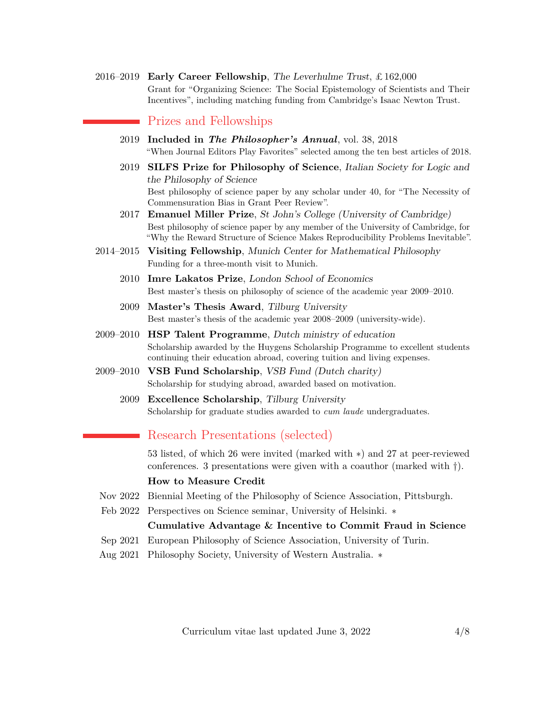2016–2019 **Early Career Fellowship**, The Leverhulme Trust, £ 162,000 Grant for "Organizing Science: The Social Epistemology of Scientists and Their Incentives", including matching funding from Cambridge's Isaac Newton Trust.

# Prizes and Fellowships

- 2019 **Included in** *The Philosopher's Annual*, vol. 38, 2018 "When Journal Editors Play Favorites" selected among the ten best articles of 2018.
- 2019 **SILFS Prize for Philosophy of Science**, Italian Society for Logic and the Philosophy of Science Best philosophy of science paper by any scholar under 40, for "The Necessity of Commensuration Bias in Grant Peer Review".
- 2017 **Emanuel Miller Prize**, St John's College (University of Cambridge) Best philosophy of science paper by any member of the University of Cambridge, for "Why the Reward Structure of Science Makes Reproducibility Problems Inevitable".
- 2014–2015 **Visiting Fellowship**, Munich Center for Mathematical Philosophy Funding for a three-month visit to Munich.
	- 2010 **Imre Lakatos Prize**, London School of Economics Best master's thesis on philosophy of science of the academic year 2009–2010.
	- 2009 **Master's Thesis Award**, Tilburg University Best master's thesis of the academic year 2008–2009 (university-wide).
- 2009–2010 **HSP Talent Programme**, Dutch ministry of education Scholarship awarded by the Huygens Scholarship Programme to excellent students continuing their education abroad, covering tuition and living expenses.
- 2009–2010 **VSB Fund Scholarship**, VSB Fund (Dutch charity) Scholarship for studying abroad, awarded based on motivation.
	- 2009 **Excellence Scholarship**, Tilburg University Scholarship for graduate studies awarded to *cum laude* undergraduates.

# Research Presentations (selected)

53 listed, of which 26 were invited (marked with ∗) and 27 at peer-reviewed conferences. 3 presentations were given with a coauthor (marked with †).

#### **How to Measure Credit**

- Nov 2022 Biennial Meeting of the Philosophy of Science Association, Pittsburgh.
- Feb 2022 Perspectives on Science seminar, University of Helsinki. ∗

#### **Cumulative Advantage & Incentive to Commit Fraud in Science**

- Sep 2021 European Philosophy of Science Association, University of Turin.
- Aug 2021 Philosophy Society, University of Western Australia. ∗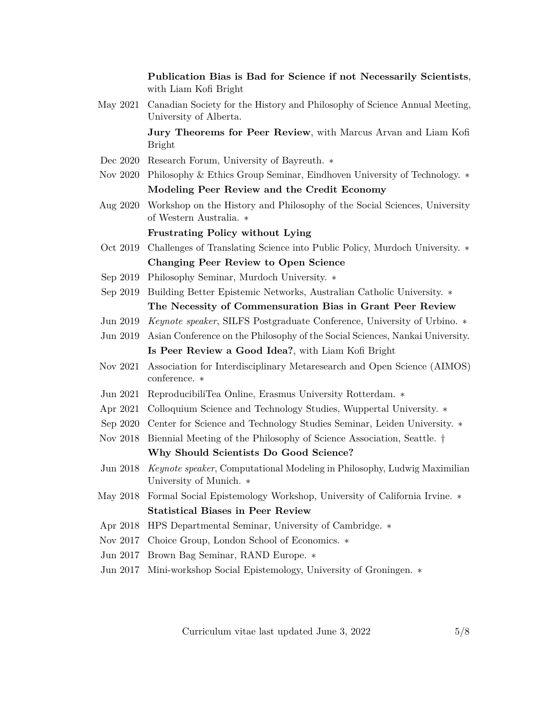**Publication Bias is Bad for Science if not Necessarily Scientists**, with Liam Kofi Bright May 2021 Canadian Society for the History and Philosophy of Science Annual Meeting, University of Alberta. **Jury Theorems for Peer Review**, with Marcus Arvan and Liam Kofi Bright Dec 2020 Research Forum, University of Bayreuth. ∗ Nov 2020 Philosophy & Ethics Group Seminar, Eindhoven University of Technology. ∗ **Modeling Peer Review and the Credit Economy** Aug 2020 Workshop on the History and Philosophy of the Social Sciences, University of Western Australia. ∗ **Frustrating Policy without Lying** Oct 2019 Challenges of Translating Science into Public Policy, Murdoch University. ∗ **Changing Peer Review to Open Science** Sep 2019 Philosophy Seminar, Murdoch University. ∗ Sep 2019 Building Better Epistemic Networks, Australian Catholic University. ∗ **The Necessity of Commensuration Bias in Grant Peer Review** Jun 2019 *Keynote speaker*, SILFS Postgraduate Conference, University of Urbino. ∗ Jun 2019 Asian Conference on the Philosophy of the Social Sciences, Nankai University. **Is Peer Review a Good Idea?**, with Liam Kofi Bright Nov 2021 Association for Interdisciplinary Metaresearch and Open Science (AIMOS) conference. ∗ Jun 2021 ReproducibiliTea Online, Erasmus University Rotterdam. ∗ Apr 2021 Colloquium Science and Technology Studies, Wuppertal University. ∗ Sep 2020 Center for Science and Technology Studies Seminar, Leiden University. ∗ Nov 2018 Biennial Meeting of the Philosophy of Science Association, Seattle. † **Why Should Scientists Do Good Science?** Jun 2018 *Keynote speaker*, Computational Modeling in Philosophy, Ludwig Maximilian University of Munich. ∗ May 2018 Formal Social Epistemology Workshop, University of California Irvine. ∗ **Statistical Biases in Peer Review** Apr 2018 HPS Departmental Seminar, University of Cambridge. ∗ Nov 2017 Choice Group, London School of Economics. ∗ Jun 2017 Brown Bag Seminar, RAND Europe. ∗ Jun 2017 Mini-workshop Social Epistemology, University of Groningen. ∗

Curriculum vitae last updated June 3,  $2022$  5[/8](#page-7-0)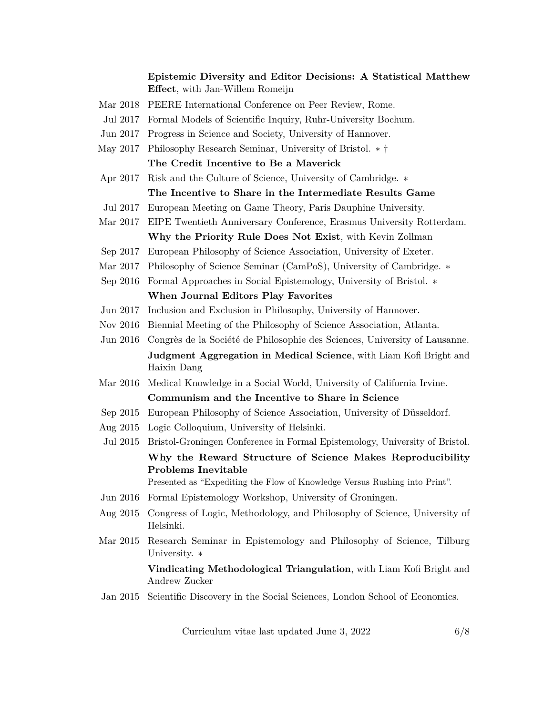# **Epistemic Diversity and Editor Decisions: A Statistical Matthew Effect**, with Jan-Willem Romeijn

- Mar 2018 PEERE International Conference on Peer Review, Rome.
- Jul 2017 Formal Models of Scientific Inquiry, Ruhr-University Bochum.
- Jun 2017 Progress in Science and Society, University of Hannover.
- May 2017 Philosophy Research Seminar, University of Bristol. ∗ † **The Credit Incentive to Be a Maverick**
- Apr 2017 Risk and the Culture of Science, University of Cambridge. ∗

## **The Incentive to Share in the Intermediate Results Game**

- Jul 2017 European Meeting on Game Theory, Paris Dauphine University.
- Mar 2017 EIPE Twentieth Anniversary Conference, Erasmus University Rotterdam. **Why the Priority Rule Does Not Exist**, with Kevin Zollman
- Sep 2017 European Philosophy of Science Association, University of Exeter.
- Mar 2017 Philosophy of Science Seminar (CamPoS), University of Cambridge. ∗
- Sep 2016 Formal Approaches in Social Epistemology, University of Bristol. ∗ **When Journal Editors Play Favorites**
- Jun 2017 Inclusion and Exclusion in Philosophy, University of Hannover.
- Nov 2016 Biennial Meeting of the Philosophy of Science Association, Atlanta.
- Jun 2016 Congrès de la Société de Philosophie des Sciences, University of Lausanne. **Judgment Aggregation in Medical Science**, with Liam Kofi Bright and Haixin Dang
- Mar 2016 Medical Knowledge in a Social World, University of California Irvine. **Communism and the Incentive to Share in Science**
- Sep 2015 European Philosophy of Science Association, University of Düsseldorf.
- Aug 2015 Logic Colloquium, University of Helsinki.
- Jul 2015 Bristol-Groningen Conference in Formal Epistemology, University of Bristol. **Why the Reward Structure of Science Makes Reproducibility Problems Inevitable** Presented as "Expediting the Flow of Knowledge Versus Rushing into Print".
	-
- Jun 2016 Formal Epistemology Workshop, University of Groningen.
- Aug 2015 Congress of Logic, Methodology, and Philosophy of Science, University of Helsinki.
- Mar 2015 Research Seminar in Epistemology and Philosophy of Science, Tilburg University. ∗

**Vindicating Methodological Triangulation**, with Liam Kofi Bright and Andrew Zucker

Jan 2015 Scientific Discovery in the Social Sciences, London School of Economics.

Curriculum vitae last updated June 3, 2022 6[/8](#page-7-0)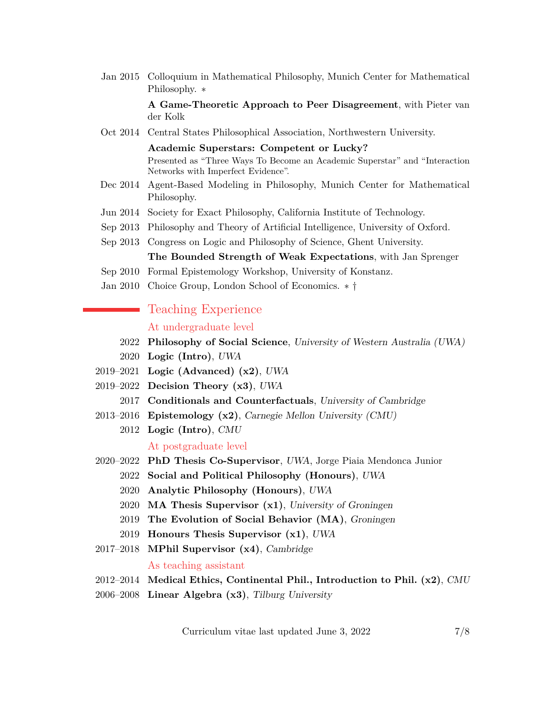Jan 2015 Colloquium in Mathematical Philosophy, Munich Center for Mathematical Philosophy. ∗

> **A Game-Theoretic Approach to Peer Disagreement**, with Pieter van der Kolk

Oct 2014 Central States Philosophical Association, Northwestern University.

**Academic Superstars: Competent or Lucky?** Presented as "Three Ways To Become an Academic Superstar" and "Interaction Networks with Imperfect Evidence".

- Dec 2014 Agent-Based Modeling in Philosophy, Munich Center for Mathematical Philosophy.
- Jun 2014 Society for Exact Philosophy, California Institute of Technology.
- Sep 2013 Philosophy and Theory of Artificial Intelligence, University of Oxford.
- Sep 2013 Congress on Logic and Philosophy of Science, Ghent University.

**The Bounded Strength of Weak Expectations**, with Jan Sprenger

- Sep 2010 Formal Epistemology Workshop, University of Konstanz.
- Jan 2010 Choice Group, London School of Economics. ∗ †

# **Teaching Experience**

#### At undergraduate level

- 2022 **Philosophy of Social Science**, University of Western Australia (UWA)
- 2020 **Logic (Intro)**, UWA
- 2019–2021 **Logic (Advanced) (x2)**, UWA
- 2019–2022 **Decision Theory (x3)**, UWA
	- 2017 **Conditionals and Counterfactuals**, University of Cambridge
- 2013–2016 **Epistemology (x2)**, Carnegie Mellon University (CMU)
	- 2012 **Logic (Intro)**, CMU At postgraduate level
- 2020–2022 **PhD Thesis Co-Supervisor**, UWA, Jorge Piaia Mendonca Junior
	- 2022 **Social and Political Philosophy (Honours)**, UWA
	- 2020 **Analytic Philosophy (Honours)**, UWA
	- 2020 **MA Thesis Supervisor (x1)**, University of Groningen
	- 2019 **The Evolution of Social Behavior (MA)**, Groningen
	- 2019 **Honours Thesis Supervisor (x1)**, UWA
- 2017–2018 **MPhil Supervisor (x4)**, Cambridge As teaching assistant
- 2012–2014 **Medical Ethics, Continental Phil., Introduction to Phil. (x2)**, CMU
- 2006–2008 **Linear Algebra (x3)**, Tilburg University

Curriculum vitae last updated June 3, 2022 7[/8](#page-7-0)